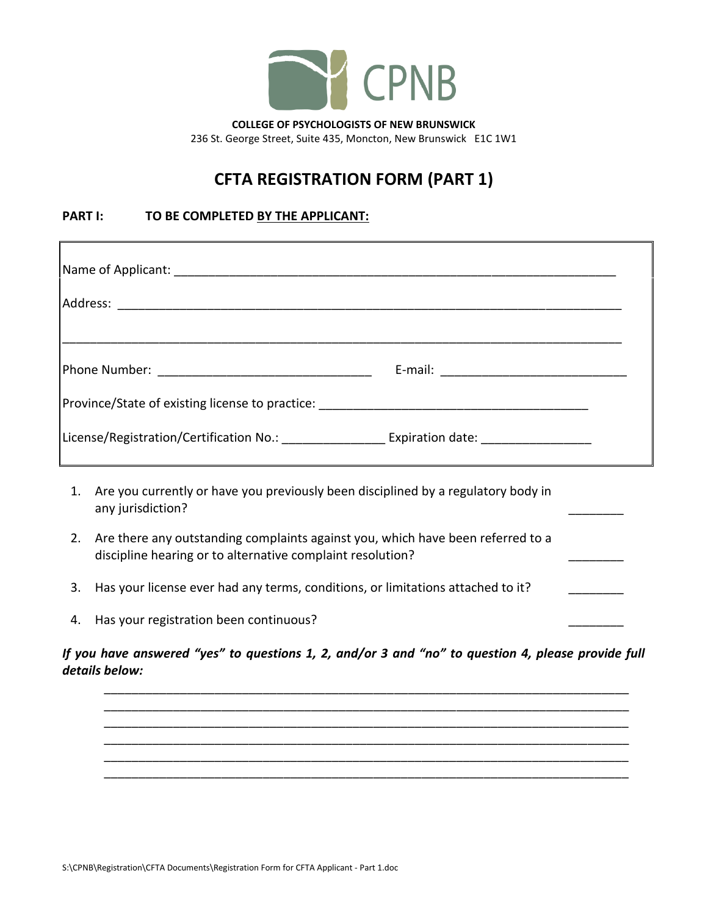

236 St. George Street, Suite 435, Moncton, New Brunswick E1C 1W1

## **CFTA REGISTRATION FORM (PART 1)**

## **PART I: TO BE COMPLETED BY THE APPLICANT:**

- 2. Are there any outstanding complaints against you, which have been referred to a discipline hearing or to alternative complaint resolution?
- 3. Has your license ever had any terms, conditions, or limitations attached to it?
- 4. Has your registration been continuous?

*If you have answered "yes" to questions 1, 2, and/or 3 and "no" to question 4, please provide full details below:* 

\_\_\_\_\_\_\_\_\_\_\_\_\_\_\_\_\_\_\_\_\_\_\_\_\_\_\_\_\_\_\_\_\_\_\_\_\_\_\_\_\_\_\_\_\_\_\_\_\_\_\_\_\_\_\_\_\_\_\_\_\_\_\_\_\_\_\_\_\_\_\_\_\_\_\_\_ \_\_\_\_\_\_\_\_\_\_\_\_\_\_\_\_\_\_\_\_\_\_\_\_\_\_\_\_\_\_\_\_\_\_\_\_\_\_\_\_\_\_\_\_\_\_\_\_\_\_\_\_\_\_\_\_\_\_\_\_\_\_\_\_\_\_\_\_\_\_\_\_\_\_\_\_ \_\_\_\_\_\_\_\_\_\_\_\_\_\_\_\_\_\_\_\_\_\_\_\_\_\_\_\_\_\_\_\_\_\_\_\_\_\_\_\_\_\_\_\_\_\_\_\_\_\_\_\_\_\_\_\_\_\_\_\_\_\_\_\_\_\_\_\_\_\_\_\_\_\_\_\_ \_\_\_\_\_\_\_\_\_\_\_\_\_\_\_\_\_\_\_\_\_\_\_\_\_\_\_\_\_\_\_\_\_\_\_\_\_\_\_\_\_\_\_\_\_\_\_\_\_\_\_\_\_\_\_\_\_\_\_\_\_\_\_\_\_\_\_\_\_\_\_\_\_\_\_\_ \_\_\_\_\_\_\_\_\_\_\_\_\_\_\_\_\_\_\_\_\_\_\_\_\_\_\_\_\_\_\_\_\_\_\_\_\_\_\_\_\_\_\_\_\_\_\_\_\_\_\_\_\_\_\_\_\_\_\_\_\_\_\_\_\_\_\_\_\_\_\_\_\_\_\_\_ \_\_\_\_\_\_\_\_\_\_\_\_\_\_\_\_\_\_\_\_\_\_\_\_\_\_\_\_\_\_\_\_\_\_\_\_\_\_\_\_\_\_\_\_\_\_\_\_\_\_\_\_\_\_\_\_\_\_\_\_\_\_\_\_\_\_\_\_\_\_\_\_\_\_\_\_